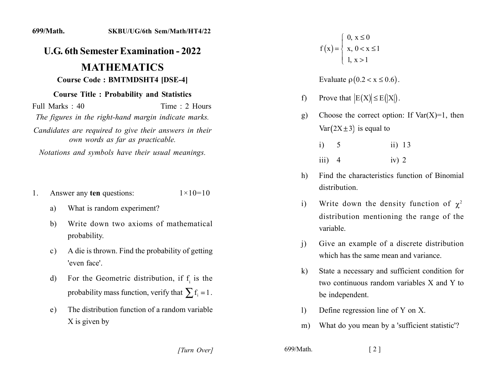## *<u>U.G.* 6th Semester Examination - 2022</u>

## **MATHEMATICS Course Code: BMTMDSHT4 [DSE-4]**

## **Course Title : Probability and Statistics**

 $\text{Full Marks} \cdot 40$  Time  $\cdot 2$  Hours *The figures in the right-hand margin indicate marks.* Candidates are required to give their answers in their *own words as far as practicable.* 

*Notations and symbols have their usual meanings.* 

- 1. Answer any **ten** questions:  $1 \times 10 = 10$ 
	- a) What is random experiment?
	- b) Write down two axioms of mathematical probability.
	- c) A die is thrown. Find the probability of getting 'even face'.
	- d) For the Geometric distribution, if  $f_i$  is the probability mass function, verify that  $\sum f_i = 1$ .
	- e) The distribution function of a random variable  $X$  is given by
		- *[2] [2] [3] [3] [3] <i>1***]**

 $f(x) = \begin{cases} x, & 0 < x \leq 1 \end{cases}$  $\begin{cases} 0, x \leq 0 \end{cases}$  $\lfloor 1, x > 1 \rfloor$  $\vert$ 

Evaluate  $\rho(0.2 < x \leq 0.6)$ .

- f) Prove that  $|E(X)| \leq E(|X|)$ .
- g) Choose the correct option: If  $Var(X)=1$ , then  $Var(2X \pm 3)$  is equal to

| $i)$ 5 | ii) $13$ |
|--------|----------|
| iii) 4 | iv) $2$  |

- h) Find the characteristics function of Binomial distribution.
- i) Write down the density function of  $\chi^2$ distribution mentioning the range of the variable
- i) Give an example of a discrete distribution which has the same mean and variance.
- k) State a necessary and sufficient condition for two continuous random variables  $X$  and  $Y$  to be independent.
- 1) Define regression line of Y on X.
- m) What do you mean by a 'sufficient statistic'?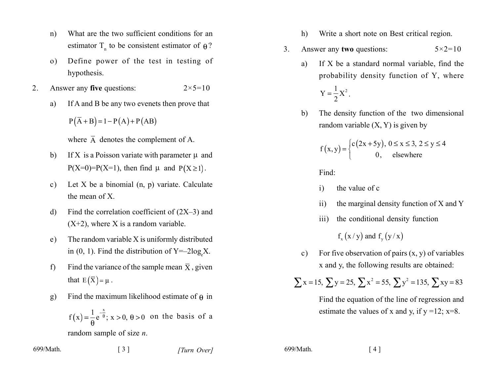- What are the two sufficient conditions for an  $n)$ estimator  $T_n$  to be consistent estimator of  $\theta$ ?
- Define power of the test in testing of  $\Omega$ ) hypothesis.
- $2.$ Answer any five questions:  $2 \times 5 = 10$ 
	- If A and B be any two evenets then prove that a)

 $P(\overline{A} + B) = 1 - P(A) + P(AB)$ 

where  $\overline{A}$  denotes the complement of A.

- If X is a Poisson variate with parameter  $\mu$  and b)  $P(X=0)=P(X=1)$ , then find  $\mu$  and  $P(X \ge 1)$ .
- Let X be a binomial  $(n, p)$  variate. Calculate  $\mathbf{c}$ ) the mean of  $X$ .
- Find the correlation coefficient of  $(2X-3)$  and  $\mathbf{d}$  $(X+2)$ , where X is a random variable.
- The random variable X is uniformly distributed  $e)$ in  $(0, 1)$ . Find the distribution of Y=-2log<sub>s</sub>X.
- Find the variance of the sample mean  $\bar{X}$ , given  $f$ that  $E(\overline{X}) = \mu$ .
- Find the maximum likelihood estimate of  $\theta$  in g)

 $\lceil 3 \rceil$ 

 $f(x) = \frac{1}{\omega} e^{-\frac{x}{\theta}}$ ;  $x > 0$ ,  $\theta > 0$  on the basis of a random sample of size  $n$ .

699/Math.

- Write a short note on Best critical region.  $h)$
- Answer any two questions:  $3<sub>1</sub>$  $5 \times 2 = 10$ 
	- If X be a standard normal variable, find the a) probability density function of Y, where

$$
Y=\frac{1}{2}X^2.
$$

The density function of the two dimensional  $\mathbf{b}$ random variable  $(X, Y)$  is given by

$$
f(x,y) = \begin{cases} c(2x+5y), & 0 \le x \le 3, \ 2 \le y \le 4\\ 0, & \text{elsewhere} \end{cases}
$$

Find:

- the value of c  $\mathbf{i}$
- the marginal density function of X and Y  $\overline{11}$
- the conditional density function  $\overline{111}$

 $f(x/y)$  and  $f(y/x)$ 

For five observation of pairs  $(x, y)$  of variables  $\mathbf{c}$ ) x and y, the following results are obtained:

$$
\sum x = 15
$$
,  $\sum y = 25$ ,  $\sum x^2 = 55$ ,  $\sum y^2 = 135$ ,  $\sum xy = 83$ 

Find the equation of the line of regression and estimate the values of x and y, if  $y = 12$ ;  $x=8$ .

699/Math.

 $\lceil 4 \rceil$